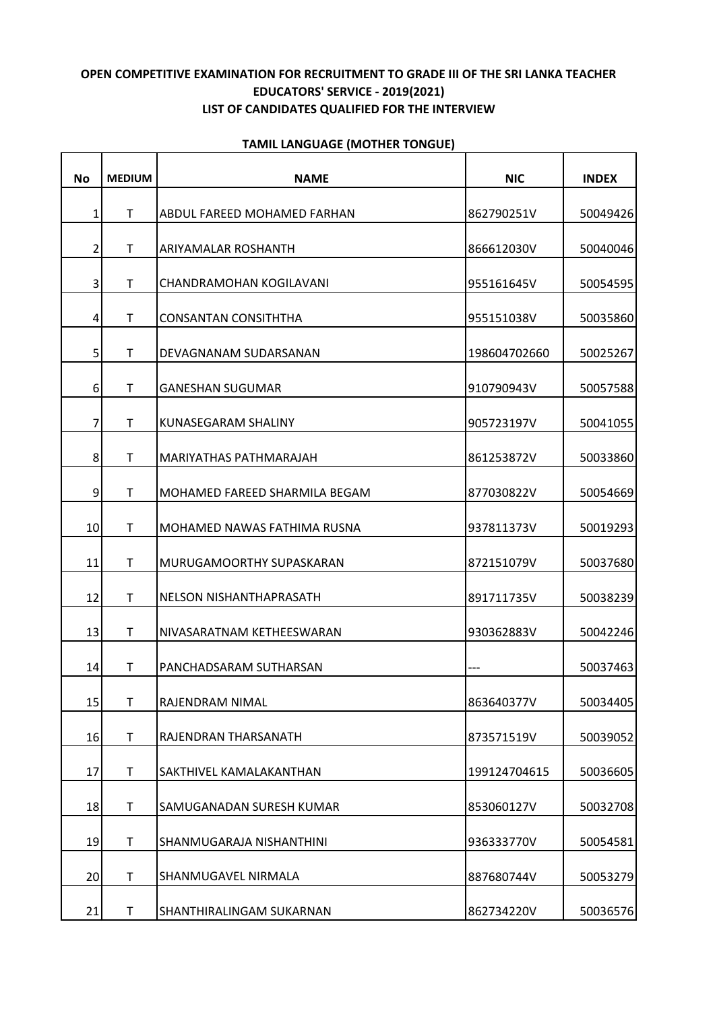## **OPEN COMPETITIVE EXAMINATION FOR RECRUITMENT TO GRADE III OF THE SRI LANKA TEACHER EDUCATORS' SERVICE - 2019(2021) LIST OF CANDIDATES QUALIFIED FOR THE INTERVIEW**

| <b>No</b>      | <b>MEDIUM</b> | <b>NAME</b>                    | <b>NIC</b>   | <b>INDEX</b> |
|----------------|---------------|--------------------------------|--------------|--------------|
| $\mathbf{1}$   | T             | ABDUL FAREED MOHAMED FARHAN    | 862790251V   | 50049426     |
| $\overline{2}$ | T.            | <b>ARIYAMALAR ROSHANTH</b>     | 866612030V   | 50040046     |
| $\overline{3}$ | $\mathsf{T}$  | CHANDRAMOHAN KOGILAVANI        | 955161645V   | 50054595     |
| $\overline{4}$ | T             | <b>CONSANTAN CONSITHTHA</b>    | 955151038V   | 50035860     |
| 5              | т             | DEVAGNANAM SUDARSANAN          | 198604702660 | 50025267     |
| 6              | $\mathsf{T}$  | <b>GANESHAN SUGUMAR</b>        | 910790943V   | 50057588     |
| $\overline{7}$ | T             | KUNASEGARAM SHALINY            | 905723197V   | 50041055     |
| 8              | т             | <b>MARIYATHAS PATHMARAJAH</b>  | 861253872V   | 50033860     |
| 9              | $\mathsf{T}$  | MOHAMED FAREED SHARMILA BEGAM  | 877030822V   | 50054669     |
| 10             | T             | MOHAMED NAWAS FATHIMA RUSNA    | 937811373V   | 50019293     |
| 11             | T             | MURUGAMOORTHY SUPASKARAN       | 872151079V   | 50037680     |
| 12             | $\mathsf{T}$  | NELSON NISHANTHAPRASATH        | 891711735V   | 50038239     |
| 13             | T             | INIVASARATNAM KETHEESWARAN     | 930362883V   | 50042246     |
| 14             | т             | PANCHADSARAM SUTHARSAN         |              | 50037463     |
| 15             | T             | RAJENDRAM NIMAL                | 863640377V   | 50034405     |
| 16             | T             | RAJENDRAN THARSANATH           | 873571519V   | 50039052     |
| 17             | T             | <b>SAKTHIVEL KAMALAKANTHAN</b> | 199124704615 | 50036605     |
| 18             | $\mathsf T$   | SAMUGANADAN SURESH KUMAR       | 853060127V   | 50032708     |
| 19             | $\mathsf T$   | SHANMUGARAJA NISHANTHINI       | 936333770V   | 50054581     |
| 20             | $\mathsf{T}$  | SHANMUGAVEL NIRMALA            | 887680744V   | 50053279     |
| 21             | T             | SHANTHIRALINGAM SUKARNAN       | 862734220V   | 50036576     |

## **TAMIL LANGUAGE (MOTHER TONGUE)**